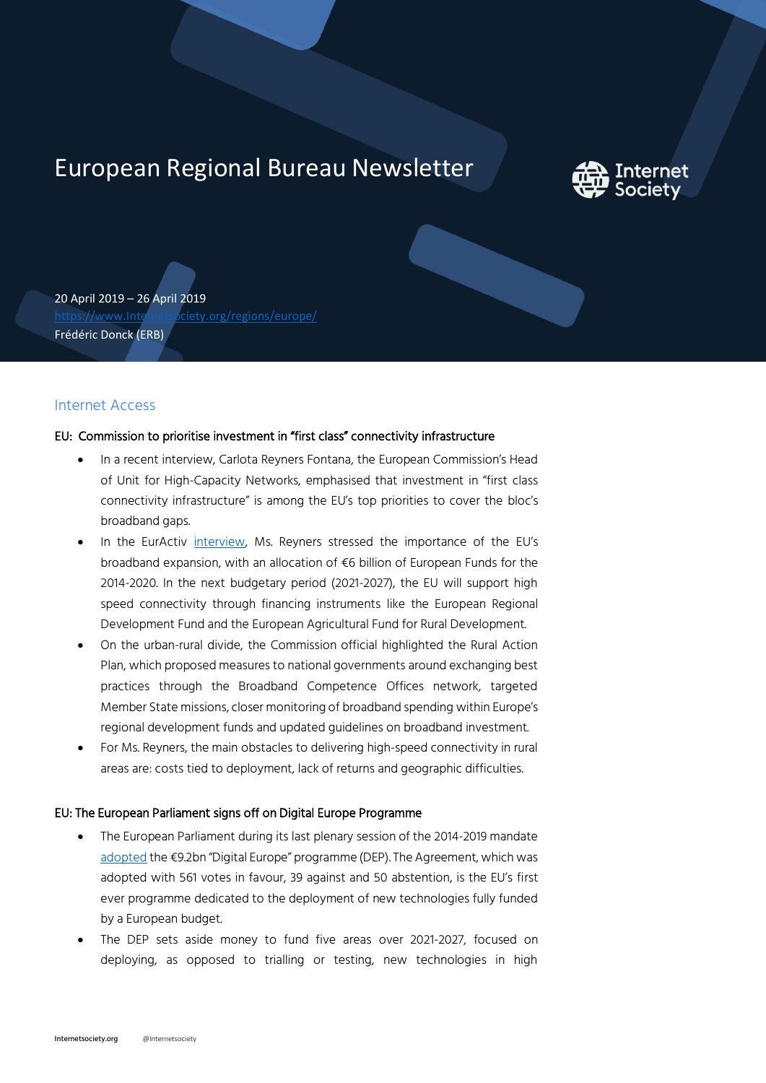# European Regional Bureau Newsletter



20 April 2019 – 26 April 2019 [https://www.Internetsociety.org/regions/europe/](https://www.internetsociety.org/regions/europe/) Frédéric Donck (ERB)

# Internet Access

## EU: Commission to prioritise investment in "first class" connectivity infrastructure

- In a recent interview, Carlota Reyners Fontana, the European Commission's Head of Unit for High-Capacity Networks, emphasised that investment in "first class connectivity infrastructure" is among the EU's top priorities to cover the bloc's broadband gaps.
- In the EurActiv [interview,](https://www.euractiv.com/section/5g/interview/investment-in-first-class-connectivity-infrastructure-a-priority-commission-says/) Ms. Reyners stressed the importance of the EU's broadband expansion, with an allocation of €6 billion of European Funds for the 2014-2020. In the next budgetary period (2021-2027), the EU will support high speed connectivity through financing instruments like the European Regional Development Fund and the European Agricultural Fund for Rural Development.
- On the urban-rural divide, the Commission official highlighted the Rural Action Plan, which proposed measures to national governments around exchanging best practices through the Broadband Competence Offices network, targeted Member State missions, closer monitoring of broadband spending within Europe's regional development funds and updated guidelines on broadband investment.
- For Ms. Reyners, the main obstacles to delivering high-speed connectivity in rural areas are: costs tied to deployment, lack of returns and geographic difficulties.

## EU: The European Parliament signs off on Digital Europe Programme

- The European Parliament during its last plenary session of the 2014-2019 mandate [adopted](http://www.europarl.europa.eu/news/en/headlines/economy/20190410STO36624/eu-plans-to-invest-EU9-2-billion-in-key-digital-technologies) the €9.2bn "Digital Europe" programme (DEP). The Agreement, which was adopted with 561 votes in favour, 39 against and 50 abstention, is the EU's first ever programme dedicated to the deployment of new technologies fully funded by a European budget.
- The DEP sets aside money to fund five areas over 2021-2027, focused on deploying, as opposed to trialling or testing, new technologies in high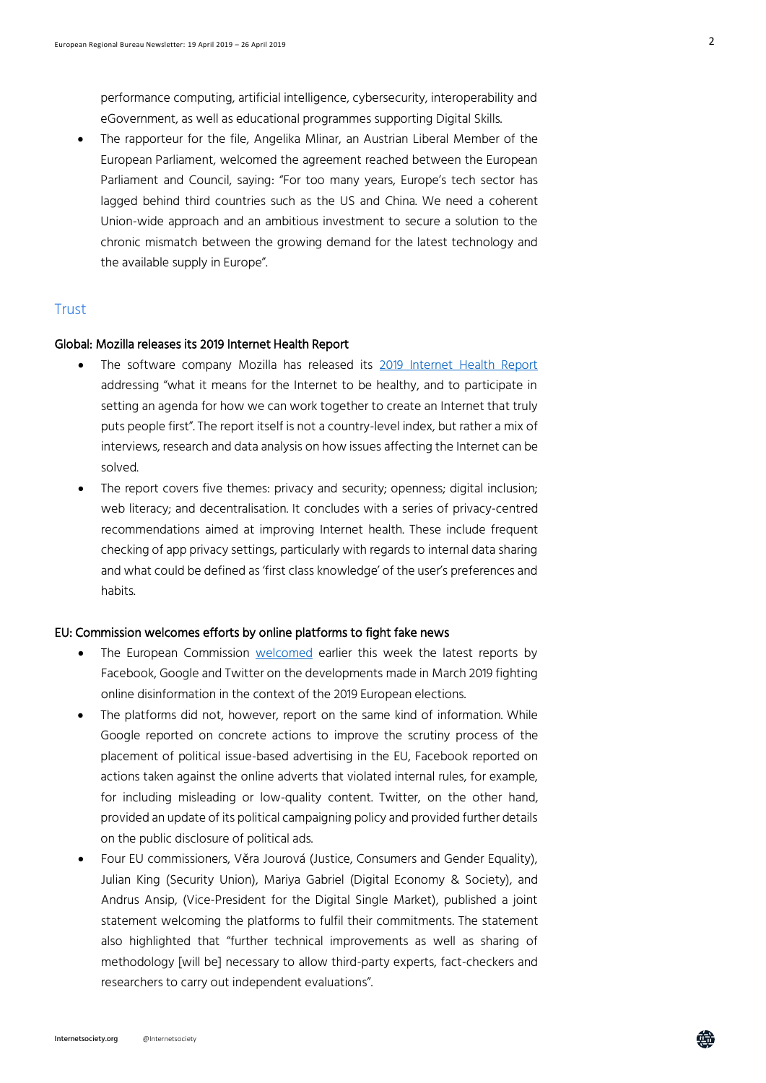performance computing, artificial intelligence, cybersecurity, interoperability and eGovernment, as well as educational programmes supporting Digital Skills.

 The rapporteur for the file, Angelika Mlinar, an Austrian Liberal Member of the European Parliament, welcomed the agreement reached between the European Parliament and Council, saying: "For too many years, Europe's tech sector has lagged behind third countries such as the US and China. We need a coherent Union-wide approach and an ambitious investment to secure a solution to the chronic mismatch between the growing demand for the latest technology and the available supply in Europe".

## **Trust**

#### Global: Mozilla releases its 2019 Internet Health Report

- The software company Mozilla has released its [2019 Internet Health Report](https://d20x8vt12bnfa2.cloudfront.net/2019/2019InternetHealthReport_shortversion.pdf) addressing "what it means for the Internet to be healthy, and to participate in setting an agenda for how we can work together to create an Internet that truly puts people first". The report itself is not a country-level index, but rather a mix of interviews, research and data analysis on how issues affecting the Internet can be solved.
- The report covers five themes: privacy and security; openness; digital inclusion; web literacy; and decentralisation. It concludes with a series of privacy-centred recommendations aimed at improving Internet health. These include frequent checking of app privacy settings, particularly with regards to internal data sharing and what could be defined as 'first class knowledge' of the user's preferences and habits.

## EU: Commission welcomes efforts by online platforms to fight fake news

- The European Commission [welcomed](http://europa.eu/rapid/press-release_STATEMENT-19-2174_en.htm) earlier this week the latest reports by Facebook, Google and Twitter on the developments made in March 2019 fighting online disinformation in the context of the 2019 European elections.
- The platforms did not, however, report on the same kind of information. While Google reported on concrete actions to improve the scrutiny process of the placement of political issue-based advertising in the EU, Facebook reported on actions taken against the online adverts that violated internal rules, for example, for including misleading or low-quality content. Twitter, on the other hand, provided an update of its political campaigning policy and provided further details on the public disclosure of political ads.
- Four EU commissioners, Věra Jourová (Justice, Consumers and Gender Equality), Julian King (Security Union), Mariya Gabriel (Digital Economy & Society), and Andrus Ansip, (Vice-President for the Digital Single Market), published a joint statement welcoming the platforms to fulfil their commitments. The statement also highlighted that "further technical improvements as well as sharing of methodology [will be] necessary to allow third-party experts, fact-checkers and researchers to carry out independent evaluations".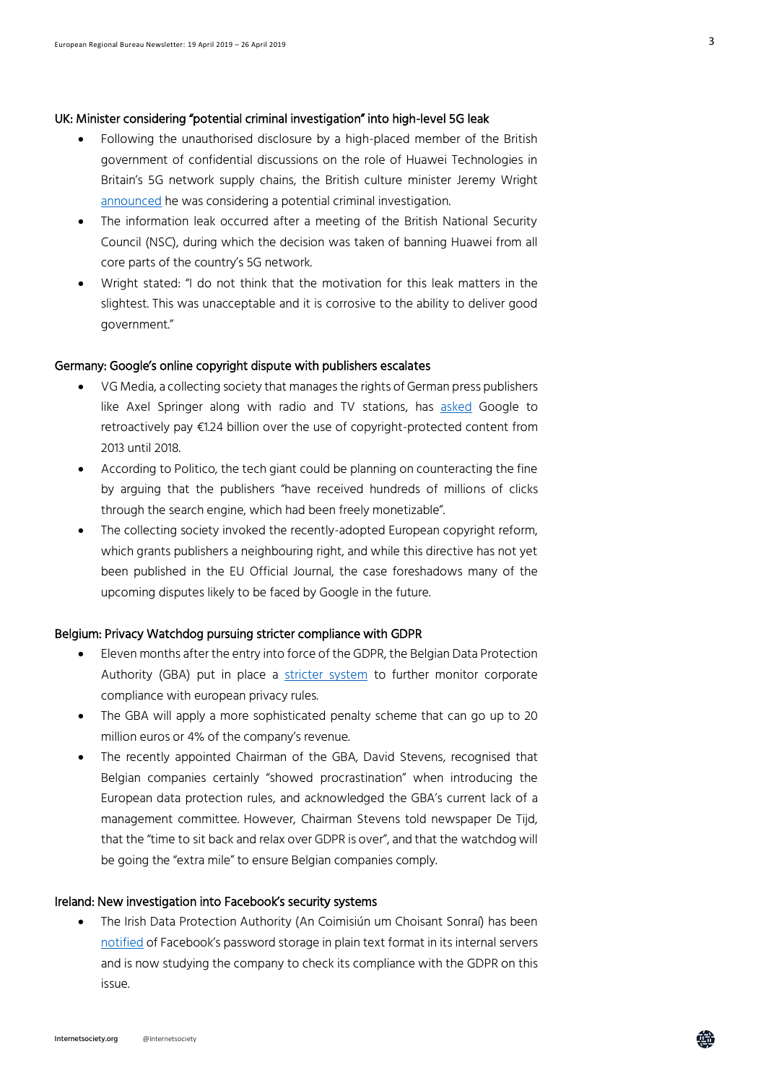#### UK: Minister considering "potential criminal investigation" into high-level 5G leak

- Following the unauthorised disclosure by a high-placed member of the British government of confidential discussions on the role of Huawei Technologies in Britain's 5G network supply chains, the British culture minister Jeremy Wright [announced](https://www.euractiv.com/section/5g/news/uk-minister-huawei-leaks-unacceptable-criminal-investigation-possible/) he was considering a potential criminal investigation.
- The information leak occurred after a meeting of the British National Security Council (NSC), during which the decision was taken of banning Huawei from all core parts of the country's 5G network.
- Wright stated: "I do not think that the motivation for this leak matters in the slightest. This was unacceptable and it is corrosive to the ability to deliver good government."

#### Germany: Google's online copyright dispute with publishers escalates

- VG Media, a collecting society that manages the rights of German press publishers like Axel Springer along with radio and TV stations, has [asked](https://www.faz.net/aktuell/feuilleton/medien/vg-media-fordert-von-google-einen-lizenzvertrag-16146341.html) Google to retroactively pay €1.24 billion over the use of copyright-protected content from 2013 until 2018.
- According to Politico, the tech giant could be planning on counteracting the fine by arguing that the publishers "have received hundreds of millions of clicks through the search engine, which had been freely monetizable".
- The collecting society invoked the recently-adopted European copyright reform, which grants publishers a neighbouring right, and while this directive has not yet been published in the EU Official Journal, the case foreshadows many of the upcoming disputes likely to be faced by Google in the future.

#### Belgium: Privacy Watchdog pursuing stricter compliance with GDPR

- Eleven months after the entry into force of the GDPR, the Belgian Data Protection Authority (GBA) put in place a [stricter system](https://www.tijd.be/politiek-economie/belgie-federaal/Privacywaakhond-controleert-strenger-op-naleving-GDPR-regels/) to further monitor corporate compliance with european privacy rules.
- The GBA will apply a more sophisticated penalty scheme that can go up to 20 million euros or 4% of the company's revenue.
- The recently appointed Chairman of the GBA, David Stevens, recognised that Belgian companies certainly "showed procrastination" when introducing the European data protection rules, and acknowledged the GBA's current lack of a management committee. However, Chairman Stevens told newspaper De Tijd, that the "time to sit back and relax over GDPR is over", and that the watchdog will be going the "extra mile" to ensure Belgian companies comply.

#### Ireland: New investigation into Facebook's security systems

 The Irish Data Protection Authority (An Coimisiún um Choisant Sonraí) has been [notified](https://www.dataprotection.ie/en/news-media/press-releases/data-protection-commission-opens-statutory-inquiry-facebook-0?utm_) of Facebook's password storage in plain text format in its internal servers and is now studying the company to check its compliance with the GDPR on this issue.